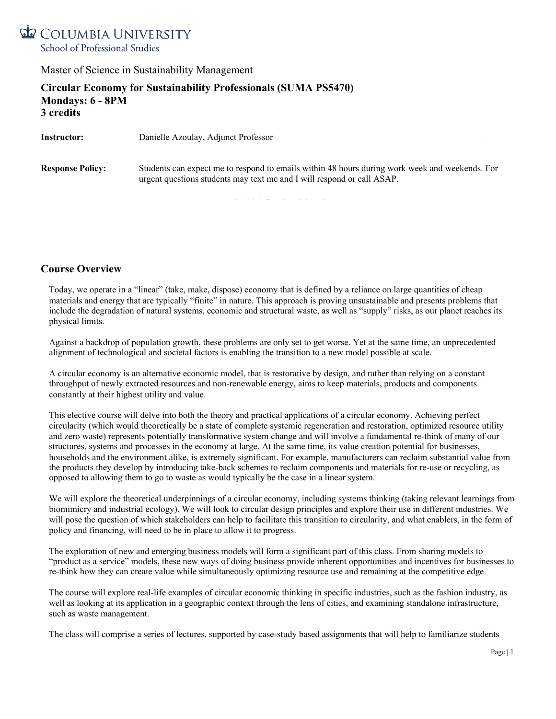

**Circular Economy for Sustainability Professionals (SUMA PS5470) Mondays: 6 - 8PM 3 credits**

**Facilitator/Teaching Assistant:** Arianna Bottome, ab4828@columbia.edu

**Instructor:** Danielle Azoulay, Adjunct Professor **Response Policy:** Students can expect me to respond to emails within 48 hours during work week and weekends. For urgent questions students may text me and I will respond or call ASAP.

#### **Course Overview**

Today, we operate in a "linear" (take, make, dispose) economy that is defined by a reliance on large quantities of cheap materials and energy that are typically "finite" in nature. This approach is proving unsustainable and presents problems that include the degradation of natural systems, economic and structural waste, as well as "supply" risks, as our planet reaches its physical limits.

Against a backdrop of population growth, these problems are only set to get worse. Yet at the same time, an unprecedented alignment of technological and societal factors is enabling the transition to a new model possible at scale.

A circular economy is an alternative economic model, that is restorative by design, and rather than relying on a constant throughput of newly extracted resources and non-renewable energy, aims to keep materials, products and components constantly at their highest utility and value.

This elective course will delve into both the theory and practical applications of a circular economy. Achieving perfect circularity (which would theoretically be a state of complete systemic regeneration and restoration, optimized resource utility and zero waste) represents potentially transformative system change and will involve a fundamental re-think of many of our structures, systems and processes in the economy at large. At the same time, its value creation potential for businesses, households and the environment alike, is extremely significant. For example, manufacturers can reclaim substantial value from the products they develop by introducing take-back schemes to reclaim components and materials for re-use or recycling, as opposed to allowing them to go to waste as would typically be the case in a linear system.

We will explore the theoretical underpinnings of a circular economy, including systems thinking (taking relevant learnings from biomimicry and industrial ecology). We will look to circular design principles and explore their use in different industries. We will pose the question of which stakeholders can help to facilitate this transition to circularity, and what enablers, in the form of policy and financing, will need to be in place to allow it to progress.

The exploration of new and emerging business models will form a significant part of this class. From sharing models to "product as a service" models, these new ways of doing business provide inherent opportunities and incentives for businesses to re-think how they can create value while simultaneously optimizing resource use and remaining at the competitive edge.

The course will explore real-life examples of circular economic thinking in specific industries, such as the fashion industry, as well as looking at its application in a geographic context through the lens of cities, and examining standalone infrastructure, such as waste management.

The class will comprise a series of lectures, supported by case-study based assignments that will help to familiarize students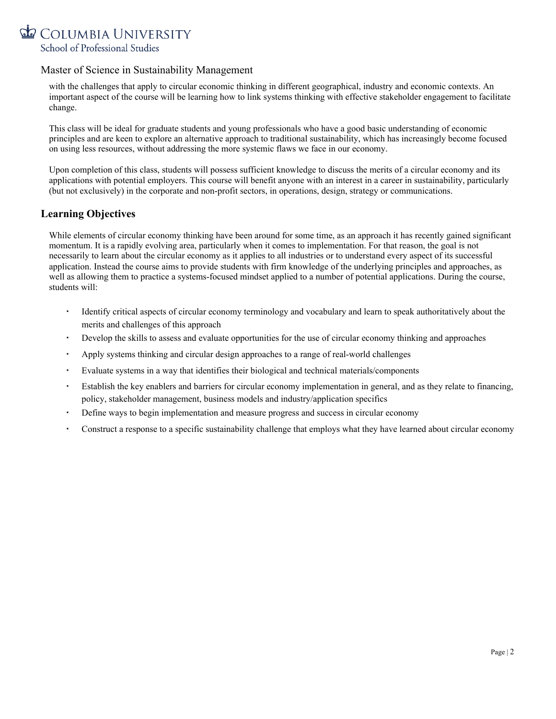

with the challenges that apply to circular economic thinking in different geographical, industry and economic contexts. An important aspect of the course will be learning how to link systems thinking with effective stakeholder engagement to facilitate change.

This class will be ideal for graduate students and young professionals who have a good basic understanding of economic principles and are keen to explore an alternative approach to traditional sustainability, which has increasingly become focused on using less resources, without addressing the more systemic flaws we face in our economy.

Upon completion of this class, students will possess sufficient knowledge to discuss the merits of a circular economy and its applications with potential employers. This course will benefit anyone with an interest in a career in sustainability, particularly (but not exclusively) in the corporate and non-profit sectors, in operations, design, strategy or communications.

#### **Learning Objectives**

While elements of circular economy thinking have been around for some time, as an approach it has recently gained significant momentum. It is a rapidly evolving area, particularly when it comes to implementation. For that reason, the goal is not necessarily to learn about the circular economy as it applies to all industries or to understand every aspect of its successful application. Instead the course aims to provide students with firm knowledge of the underlying principles and approaches, as well as allowing them to practice a systems-focused mindset applied to a number of potential applications. During the course, students will:

- Identify critical aspects of circular economy terminology and vocabulary and learn to speak authoritatively about the merits and challenges of this approach
- Develop the skills to assess and evaluate opportunities for the use of circular economy thinking and approaches
- Apply systems thinking and circular design approaches to a range of real-world challenges
- Evaluate systems in a way that identifies their biological and technical materials/components
- Establish the key enablers and barriers for circular economy implementation in general, and as they relate to financing, policy, stakeholder management, business models and industry/application specifics
- Define ways to begin implementation and measure progress and success in circular economy
- Construct a response to a specific sustainability challenge that employs what they have learned about circular economy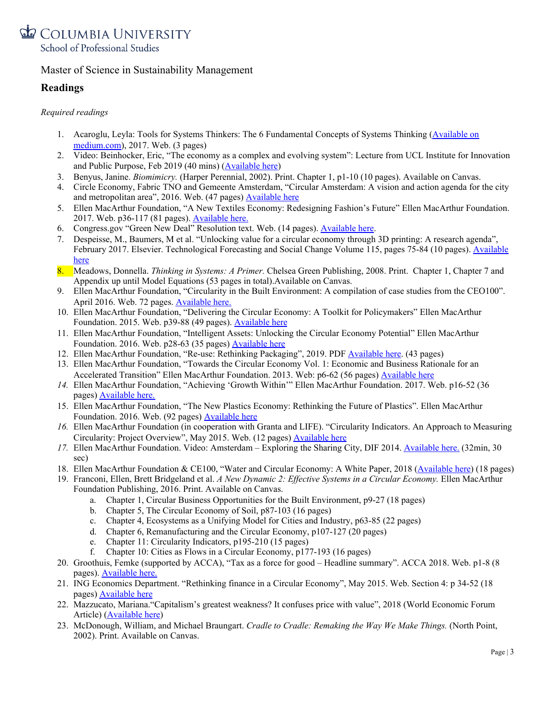

### **Readings**

#### *Required readings*

- 1. Acaroglu, Leyla: Tools for Systems Thinkers: The 6 Fundamental Concepts of Systems Thinking [\(Available](https://medium.com/disruptive-design/tools-for-systems-thinkers-the-6-fundamental-concepts-of-systems-thinking-379cdac3dc6a) on [medium.com\)](https://medium.com/disruptive-design/tools-for-systems-thinkers-the-6-fundamental-concepts-of-systems-thinking-379cdac3dc6a), 2017. Web. (3 pages)
- 2. Video: Beinhocker, Eric, "The economy as a complex and evolving system": Lecture from UCL Institute for Innovation and Public Purpose, Feb 2019 (40 mins) ([Available](https://www.youtube.com/watch?v=7-RdnoxSZiM) here)
- 3. Benyus, Janine. *Biomimicry.* (Harper Perennial, 2002). Print. Chapter 1, p1-10 (10 pages). Available on Canvas.
- 4. Circle Economy, Fabric TNO and Gemeente Amsterdam, "Circular Amsterdam: A vision and action agenda for the city and metropolitan area", 2016. Web. (47 pages) **[Available](https://issuu.com/fabrications/docs/circular-amsterdam-en-small-210316_) here**
- 5. Ellen MacArthur Foundation, "A New Textiles Economy: Redesigning Fashion's Future" Ellen MacArthur Foundation. 2017. Web. p36-117 (81 pages). [Available](https://www.ellenmacarthurfoundation.org/publications/a-new-textiles-economy-redesigning-fashions-future) here.
- 6. Congress.gov "Green New Deal" Resolution text. Web. (14 pages). [Available](https://www.congress.gov/116/bills/hres109/BILLS-116hres109ih.pdf) here.
- 7. Despeisse, M., Baumers, M et al. "Unlocking value for a circular economy through 3D printing: A research agenda", February 2017. Elsevier. Technological Forecasting and Social Change Volume 115, pages 75-84 (10 pages). [Available](https://ora.ox.ac.uk/objects/uuid:8a258701-67bb-4af6-90c7-a4ed6597e70b/download_file?file_format=pdf&safe_filename=20160928%2B3DP%2BCircular%2BEconomy%2BAAM.pdf&type_of_work=Journal+article) [here](https://ora.ox.ac.uk/objects/uuid:8a258701-67bb-4af6-90c7-a4ed6597e70b/download_file?file_format=pdf&safe_filename=20160928%2B3DP%2BCircular%2BEconomy%2BAAM.pdf&type_of_work=Journal+article)
- 8. Meadows, Donnella. *Thinking in Systems: A Primer.* Chelsea Green Publishing, 2008. Print. Chapter 1, Chapter 7 and Appendix up until Model Equations (53 pages in total).Available on Canvas.
- 9. Ellen MacArthur Foundation, "Circularity in the Built Environment: A compilation of case studies from the CEO100". April 2016. Web. 72 pages. [Available](https://www.ellenmacarthurfoundation.org/assets/downloads/Built-Env-Co.Project.pdf) here.
- 10. Ellen MacArthur Foundation, "Delivering the Circular Economy: A Toolkit for Policymakers" Ellen MacArthur Foundation. 2015. Web. p39-88 (49 pages). [Available](https://www.ellenmacarthurfoundation.org/resources/apply/toolkit-for-policymakers) here
- 11. Ellen MacArthur Foundation, "Intelligent Assets: Unlocking the Circular Economy Potential" Ellen MacArthur Foundation. 2016. Web. p28-63 (35 pages) **[Available](https://www.ellenmacarthurfoundation.org/publications/intelligent-assets) here**
- 12. Ellen MacArthur Foundation, "Re-use: Rethinking Packaging", 2019. PDF [Available](https://www.ellenmacarthurfoundation.org/publications/reuse) here. (43 pages)
- 13. Ellen MacArthur Foundation, "Towards the Circular Economy Vol. 1: Economic and Business Rationale for an Accelerated Transition" Ellen MacArthur Foundation. 2013. Web: p6-62 (56 pages) [Available](https://www.ellenmacarthurfoundation.org/publications/towards-the-circular-economy-vol-1-an-economic-and-business-rationale-for-an-accelerated-transition) here
- *14.* Ellen MacArthur Foundation, "Achieving 'Growth Within'" Ellen MacArthur Foundation. 2017. Web. p16-52 (36 pages) [Available](https://www.ellenmacarthurfoundation.org/assets/downloads/publications/Achieving-Growth-Within-20-01-17.pdf) here.
- 15. Ellen MacArthur Foundation, "The New Plastics Economy: Rethinking the Future of Plastics". Ellen MacArthur Foundation. 2016. Web. (92 pages) [Available](https://www.ellenmacarthurfoundation.org/publications/the-new-plastics-economy-rethinking-the-future-of-plastics) here
- *16.* Ellen MacArthur Foundation (in cooperation with Granta and LIFE). "Circularity Indicators. An Approach to Measuring Circularity: Project Overview", May 2015. Web. (12 pages) [Available](https://www.ellenmacarthurfoundation.org/assets/downloads/insight/Circularity-Indicators_Project-Overview_May2015.pdf) here
- *17.* Ellen MacArthur Foundation. Video: Amsterdam Exploring the Sharing City, DIF 2014. [Available](https://www.youtube.com/watch?v=wwQZhMWg9iw) here. (32min, 30 sec)
- 18. Ellen MacArthur Foundation & CE100, "Water and Circular Economy: A White Paper, 2018 ([Available](https://www.ellenmacarthurfoundation.org/assets/downloads/ce100/Water-and-Circular-Economy-White-paper-WIP-2018-04-13.pdf) here) (18 pages)
- 19. Franconi, Ellen, Brett Bridgeland et al. *A New Dynamic 2: Ef ective Systems in a Circular Economy.* Ellen MacArthur Foundation Publishing, 2016. Print. Available on Canvas.
	- a. Chapter 1, Circular Business Opportunities for the Built Environment, p9-27 (18 pages)
	- b. Chapter 5, The Circular Economy of Soil, p87-103 (16 pages)
	- c. Chapter 4, Ecosystems as a Unifying Model for Cities and Industry, p63-85 (22 pages)
	- d. Chapter 6, Remanufacturing and the Circular Economy, p107-127 (20 pages)
	- e. Chapter 11: Circularity Indicators, p195-210 (15 pages)
	- f. Chapter 10: Cities as Flows in a Circular Economy, p177-193 (16 pages)
- 20. Groothuis, Femke (supported by ACCA), "Tax as a force for good Headline summary". ACCA 2018. Web. p1-8 (8 pages). [Available](https://www.accaglobal.com/content/dam/ACCA_Global/professional-insights/Tax-as-force-for-good/Tax%20as%20a%20force%20for%20good%20-%20summary.pdf) here.
- 21. ING Economics Department. "Rethinking finance in a Circular Economy", May 2015. Web. Section 4: p 34-52 (18 pages) [Available](https://www.ing.nl/media/ING_EZB_Financing-the-Circular-Economy_tcm162-84762.pdf) here
- 22. Mazzucato, Mariana."Capitalism's greatest weakness? It confuses price with value", 2018 (World Economic Forum Article) ([Available](https://www.weforum.org/agenda/2018/05/capitalisms-greatest-weakness-it-confuses-price-with-value/) here)
- 23. McDonough, William, and Michael Braungart. *Cradle to Cradle: Remaking the Way We Make Things.* (North Point, 2002). Print. Available on Canvas.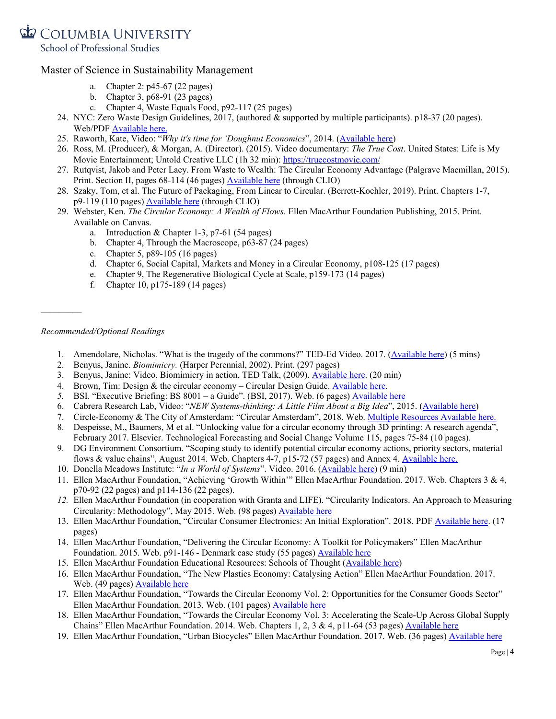School of Professional Studies

#### Master of Science in Sustainability Management

- a. Chapter 2: p45-67 (22 pages)
- b. Chapter 3, p68-91 (23 pages)
- c. Chapter 4, Waste Equals Food, p92-117 (25 pages)
- 24. NYC: Zero Waste Design Guidelines, 2017, (authored & supported by multiple participants). p18-37 (20 pages). Web/PDF [Available](https://www.zerowastedesign.org/) here.
- 25. Raworth, Kate, Video: "*Why it's time for 'Doughnut Economics*", 2014. [\(Available](https://www.youtube.com/watch?time_continue=1&v=1BHOflzxPjI) here)
- 26. Ross, M. (Producer), & Morgan, A. (Director). (2015). Video documentary: *The True Cost*. United States: Life is My Movie Entertainment; Untold Creative LLC (1h 32 min): <https://truecostmovie.com/>
- 27. Rutqvist, Jakob and Peter Lacy. From Waste to Wealth: The Circular Economy Advantage (Palgrave Macmillan, 2015). Print. Section II, pages 68-114 (46 pages) **[Available](https://link-springer-com.ezproxy.cul.columbia.edu/book/10.1057%2F978-1-349-95968-6) here** (through CLIO)
- 28. Szaky, Tom, et al. The Future of Packaging, From Linear to Circular. (Berrett-Koehler, 2019). Print. Chapters 1-7, p9-119 (110 pages) [Available](https://web-b-ebscohost-com.ezproxy.cul.columbia.edu/ehost/detail/detail?vid=0&sid=9ca42872-c679-45d4-8c47-ab3646550b67%40pdc-v-sessmgr05&bdata=JnNpdGU9ZWhvc3QtbGl2ZSZzY29wZT1zaXRl#AN=1833681&db=e025xna) here (through CLIO)
- 29. Webster, Ken. *The Circular Economy: A Wealth of Flows.* Ellen MacArthur Foundation Publishing, 2015. Print. Available on Canvas.
	- a. Introduction & Chapter 1-3, p7-61 (54 pages)
	- b. Chapter 4, Through the Macroscope, p63-87 (24 pages)
	- c. Chapter 5, p89-105 (16 pages)
	- d. Chapter 6, Social Capital, Markets and Money in a Circular Economy, p108-125 (17 pages)
	- e. Chapter 9, The Regenerative Biological Cycle at Scale, p159-173 (14 pages)
	- f. Chapter 10, p175-189 (14 pages)

#### *Recommended/Optional Readings*

 $\frac{1}{2}$ 

- 1. Amendolare, Nicholas. "What is the tragedy of the commons?" TED-Ed Video. 2017. [\(Available](https://www.youtube.com/watch?v=CxC161GvMPc) here) (5 mins)
- 2. Benyus, Janine. *Biomimicry.* (Harper Perennial, 2002). Print. (297 pages)
- 3. Benyus, Janine: Video. Biomimicry in action, TED Talk, (2009). [Available](https://www.youtube.com/watch?v=k_GFq12w5WU) here. (20 min)
- 4. Brown, Tim: Design & the circular economy Circular Design Guide. [Available](https://www.youtube.com/watch?v=yAvkM7B7BBs) here.
- *5.* BSI. "Executive Briefing: BS 8001 a Guide". (BSI, 2017). Web. (6 pages) [Available](https://www.bsigroup.com/en-GB/standards/benefits-of-using-standards/becoming-more-sustainable-with-standards/Circular-Economy/) here
- 6. Cabrera Research Lab, Video: "*NEW Systems-thinking: A Little Film About a Big Idea*", 2015. ([Available](https://www.youtube.com/watch?time_continue=17&v=-sfiReUu3o0) here)
- 7. Circle-Economy & The City of Amsterdam: "Circular Amsterdam", 2018. Web. Multiple [Resources](https://circle-economy.com/amsterdam-circular-journey?mc_cid=4c6860f2bb&mc_eid=703ffe41ab) Available here.
- 8. Despeisse, M., Baumers, M et al. "Unlocking value for a circular economy through 3D printing: A research agenda", February 2017. Elsevier. Technological Forecasting and Social Change Volume 115, pages 75-84 (10 pages).
- 9. DG Environment Consortium. "Scoping study to identify potential circular economy actions, priority sectors, material flows & value chains", August 2014. Web. Chapters 4-7, p15-72 (57 pages) and Annex 4. [Available](http://www.eesc.europa.eu/resources/docs/scoping-study.pdf) here.
- 10. Donella Meadows Institute: "*In a World of Systems*". Video. 2016. ([Available](https://www.youtube.com/watch?v=A_BtS008J0k) here) (9 min)
- 11. Ellen MacArthur Foundation, "Achieving 'Growth Within'" Ellen MacArthur Foundation. 2017. Web. Chapters 3 & 4, p70-92 (22 pages) and p114-136 (22 pages).
- *12.* Ellen MacArthur Foundation (in cooperation with Granta and LIFE). "Circularity Indicators. An Approach to Measuring Circularity: Methodology", May 2015. Web. (98 pages) [Available](https://www.ellenmacarthurfoundation.org/assets/downloads/insight/Circularity-Indicators_Project-Overview_May2015.pdf) here
- 13. Ellen MacArthur Foundation, "Circular Consumer Electronics: An Initial Exploration". 2018. PDF [Available](https://www.ellenmacarthurfoundation.org/publications/circular-consumer-electronics-an-initial-exploration) here. (17 pages)
- 14. Ellen MacArthur Foundation, "Delivering the Circular Economy: A Toolkit for Policymakers" Ellen MacArthur Foundation. 2015. Web. p91-146 - Denmark case study (55 pages) [Available](https://www.ellenmacarthurfoundation.org/resources/apply/toolkit-for-policymakers) here
- 15. Ellen MacArthur Foundation Educational Resources: Schools of Thought ([Available](https://kumu.io/ellenmacarthurfoundation/educational-resources#circular-economy-educational-resources/schools-of-thought) here)
- 16. Ellen MacArthur Foundation, "The New Plastics Economy: Catalysing Action" Ellen MacArthur Foundation. 2017. Web. (49 pages) [Available](https://www.ellenmacarthurfoundation.org/publications/new-plastics-economy-catalysing-action) here
- 17. Ellen MacArthur Foundation, "Towards the Circular Economy Vol. 2: Opportunities for the Consumer Goods Sector" Ellen MacArthur Foundation. 2013. Web. (101 pages) [Available](https://www.ellenmacarthurfoundation.org/publications/towards-the-circular-economy-vol-2-opportunities-for-the-consumer-goods-sector) here
- 18. Ellen MacArthur Foundation, "Towards the Circular Economy Vol. 3: Accelerating the Scale-Up Across Global Supply Chains" Ellen MacArthur Foundation. 2014. Web. Chapters 1, 2, 3 & 4, p11-64 (53 pages) [Available](https://www.ellenmacarthurfoundation.org/publications/towards-the-circular-economy-vol-3-accelerating-the-scale-up-across-global-supply-chains) here
- 19. Ellen MacArthur Foundation, "Urban Biocycles" Ellen MacArthur Foundation. 2017. Web. (36 pages) [Available](https://www.ellenmacarthurfoundation.org/publications/urban-biocyles) here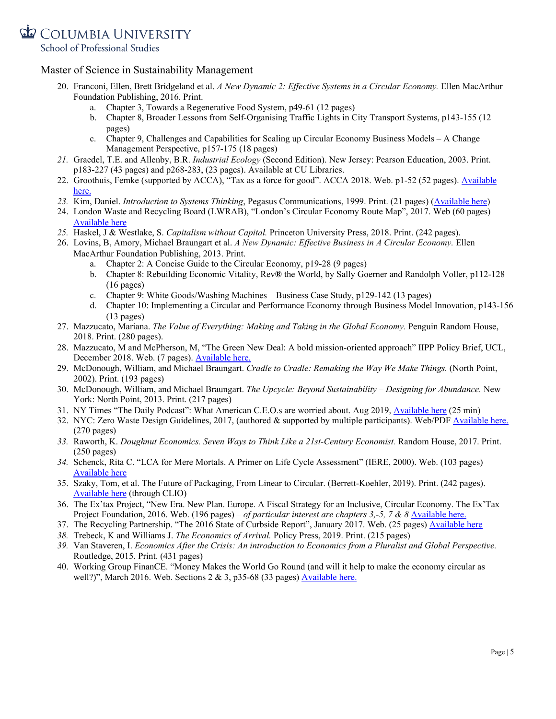School of Professional Studies

- 20. Franconi, Ellen, Brett Bridgeland et al. *A New Dynamic 2: Ef ective Systems in a Circular Economy.* Ellen MacArthur Foundation Publishing, 2016. Print.
	- a. Chapter 3, Towards a Regenerative Food System, p49-61 (12 pages)
	- b. Chapter 8, Broader Lessons from Self-Organising Traffic Lights in City Transport Systems, p143-155 (12 pages)
	- c. Chapter 9, Challenges and Capabilities for Scaling up Circular Economy Business Models A Change Management Perspective, p157-175 (18 pages)
- *21.* Graedel, T.E. and Allenby, B.R. *Industrial Ecology* (Second Edition). New Jersey: Pearson Education, 2003. Print. p183-227 (43 pages) and p268-283, (23 pages). Available at CU Libraries.
- 22. Groothuis, Femke (supported by ACCA), "Tax as a force for good". ACCA 2018. Web. p1-52 (52 pages). [Available](https://www.accaglobal.com/content/dam/ACCA_Global/professional-insights/Tax-as-force-for-good/pi-environmental-tax.pdf) [here.](https://www.accaglobal.com/content/dam/ACCA_Global/professional-insights/Tax-as-force-for-good/pi-environmental-tax.pdf)
- *23.* Kim, Daniel. *Introduction to Systems Thinking*, Pegasus Communications, 1999. Print. (21 pages) [\(Available](https://thesystemsthinker.com/wp-content/uploads/2016/03/Introduction-to-Systems-Thinking-IMS013Epk.pdf) here)
- 24. London Waste and Recycling Board (LWRAB), "London's Circular Economy Route Map", 2017. Web (60 pages) [Available](http://www.lwarb.gov.uk/what-we-do/circular-london/circular-economy-route-map/) here
- *25.* Haskel, J & Westlake, S. *Capitalism without Capital.* Princeton University Press, 2018. Print. (242 pages).
- 26. Lovins, B, Amory, Michael Braungart et al. *A New Dynamic: Ef ective Business in A Circular Economy.* Ellen MacArthur Foundation Publishing, 2013. Print.
	- a. Chapter 2: A Concise Guide to the Circular Economy, p19-28 (9 pages)
	- b. Chapter 8: Rebuilding Economic Vitality, Rev**®** the World, by Sally Goerner and Randolph Voller, p112-128 (16 pages)
	- c. Chapter 9: White Goods/Washing Machines Business Case Study, p129-142 (13 pages)
	- d. Chapter 10: Implementing a Circular and Performance Economy through Business Model Innovation, p143-156 (13 pages)
- 27. Mazzucato, Mariana. *The Value of Everything: Making and Taking in the Global Economy.* Penguin Random House, 2018. Print. (280 pages).
- 28. Mazzucato, M and McPherson, M, "The Green New Deal: A bold mission-oriented approach" IIPP Policy Brief, UCL, December 2018. Web. (7 pages). [Available](https://www.ucl.ac.uk/bartlett/public-purpose/sites/public-purpose/files/iipp-pb-04-the-green-new-deal-17-12-2018_0.pdf) here.
- 29. McDonough, William, and Michael Braungart. *Cradle to Cradle: Remaking the Way We Make Things.* (North Point, 2002). Print. (193 pages)
- 30. McDonough, William, and Michael Braungart. *The Upcycle: Beyond Sustainability – Designing for Abundance.* New York: North Point, 2013. Print. (217 pages)
- 31. NY Times "The Daily Podcast": What American C.E.O.s are worried about. Aug 2019, [Available](https://www.nytimes.com/2019/08/21/podcasts/the-daily/business-roundtable-corporate-responsibility.html) here (25 min)
- 32. NYC: Zero Waste Design Guidelines, 2017, (authored & supported by multiple participants). Web/PDF [Available](https://www.zerowastedesign.org/) here. (270 pages)
- *33.* Raworth, K. *Doughnut Economics. Seven Ways to Think Like a 21st-Century Economist.* Random House, 2017. Print. (250 pages)
- *34.* Schenck, Rita C. "LCA for Mere Mortals. A Primer on Life Cycle Assessment" (IERE, 2000). Web. (103 pages) [Available](https://brainmass.com/file/1522206/LCA+for+Mere+Mortals.pdf) here
- 35. Szaky, Tom, et al. The Future of Packaging, From Linear to Circular. (Berrett-Koehler, 2019). Print. (242 pages). [Available](https://web-b-ebscohost-com.ezproxy.cul.columbia.edu/ehost/detail/detail?vid=0&sid=9ca42872-c679-45d4-8c47-ab3646550b67%40pdc-v-sessmgr05&bdata=JnNpdGU9ZWhvc3QtbGl2ZSZzY29wZT1zaXRl#AN=1833681&db=e025xna) here (through CLIO)
- 36. The Ex'tax Project, "New Era. New Plan. Europe. A Fiscal Strategy for an Inclusive, Circular Economy. The Ex'Tax Project Foundation, 2016. Web. (196 pages) – *of particular interest are chapters 3,-5, 7 & 8* [Available](http://www.neweranewplan.com/) here.
- 37. The Recycling Partnership. "The 2016 State of Curbside Report", January 2017. Web. (25 pages) [Available](https://recyclingpartnership.org/wp-content/uploads/2018/05/state-of-recycling-report-Jan2017.pdf) here
- *38.* Trebeck, K and Williams J. *The Economics of Arrival.* Policy Press, 2019. Print. (215 pages)
- *39.* Van Staveren, I. *Economics After the Crisis: An introduction to Economics from a Pluralist and Global Perspective.* Routledge, 2015. Print. (431 pages)
- 40. Working Group FinanCE. "Money Makes the World Go Round (and will it help to make the economy circular as well?)", March 2016. Web. Sections  $2 \& 3$ , p35-68 (33 pages) [Available](https://www.ellenmacarthurfoundation.org/assets/downloads/ce100/FinanCE.pdf) here.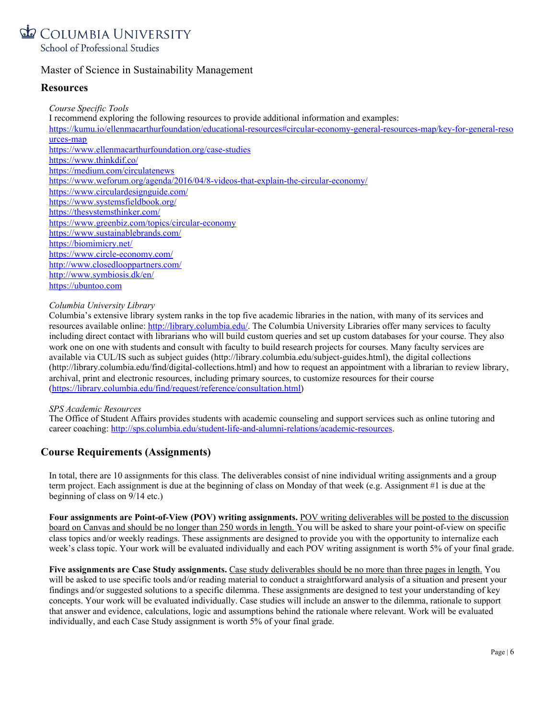

#### **Resources**

*Course Specific Tools* I recommend exploring the following resources to provide additional information and examples: [https://kumu.io/ellenmacarthurfoundation/educational-resources#circular-economy-general-resources-map/key-for-general-reso](https://kumu.io/ellenmacarthurfoundation/educational-resources#circular-economy-general-resources-map/key-for-general-resources-map) [urces-map](https://kumu.io/ellenmacarthurfoundation/educational-resources#circular-economy-general-resources-map/key-for-general-resources-map) <https://www.ellenmacarthurfoundation.org/case-studies> <https://www.thinkdif.co/> <https://medium.com/circulatenews> <https://www.weforum.org/agenda/2016/04/8-videos-that-explain-the-circular-economy/> <https://www.circulardesignguide.com/> <https://www.systemsfieldbook.org/> <https://thesystemsthinker.com/> <https://www.greenbiz.com/topics/circular-economy> <https://www.sustainablebrands.com/> <https://biomimicry.net/> <https://www.circle-economy.com/> <http://www.closedlooppartners.com/> <http://www.symbiosis.dk/en/> [https://ubuntoo.com](https://ubuntoo.com/)

#### *Columbia University Library*

Columbia's extensive library system ranks in the top five academic libraries in the nation, with many of its services and resources available online: <http://library.columbia.edu/>. The Columbia University Libraries offer many services to faculty including direct contact with librarians who will build custom queries and set up custom databases for your course. They also work one on one with students and consult with faculty to build research projects for courses. Many faculty services are available via CUL/IS such as subject guides (http://library.columbia.edu/subject-guides.html), the digital collections (http://library.columbia.edu/find/digital-collections.html) and how to request an appointment with a librarian to review library, archival, print and electronic resources, including primary sources, to customize resources for their course [\(https://library.columbia.edu/find/request/reference/consultation.html\)](https://library.columbia.edu/find/request/reference/consultation.html)

#### *SPS Academic Resources*

The Office of Student Affairs provides students with academic counseling and support services such as online tutoring and career coaching: <http://sps.columbia.edu/student-life-and-alumni-relations/academic-resources>.

#### **Course Requirements (Assignments)**

In total, there are 10 assignments for this class. The deliverables consist of nine individual writing assignments and a group term project. Each assignment is due at the beginning of class on Monday of that week (e.g. Assignment #1 is due at the beginning of class on 9/14 etc.)

**Four assignments are Point-of-View (POV) writing assignments.** POV writing deliverables will be posted to the discussion board on Canvas and should be no longer than 250 words in length. You will be asked to share your point-of-view on specific class topics and/or weekly readings. These assignments are designed to provide you with the opportunity to internalize each week's class topic. Your work will be evaluated individually and each POV writing assignment is worth 5% of your final grade.

**Five assignments are Case Study assignments.** Case study deliverables should be no more than three pages in length. You will be asked to use specific tools and/or reading material to conduct a straightforward analysis of a situation and present your findings and/or suggested solutions to a specific dilemma. These assignments are designed to test your understanding of key concepts. Your work will be evaluated individually. Case studies will include an answer to the dilemma, rationale to support that answer and evidence, calculations, logic and assumptions behind the rationale where relevant. Work will be evaluated individually, and each Case Study assignment is worth 5% of your final grade.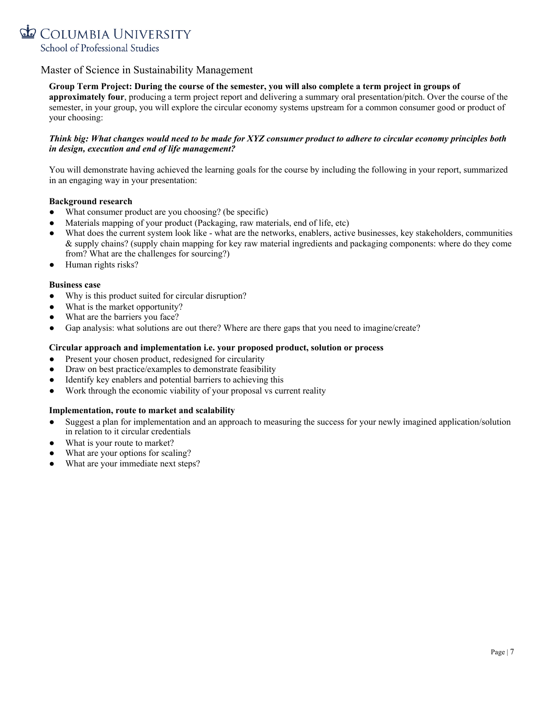

#### Group Term Project: During the course of the semester, you will also complete a term project in groups of

**approximately four**, producing a term project report and delivering a summary oral presentation/pitch. Over the course of the semester, in your group, you will explore the circular economy systems upstream for a common consumer good or product of your choosing:

#### Think big: What changes would need to be made for XYZ consumer product to adhere to circular economy principles both *in design, execution and end of life management?*

You will demonstrate having achieved the learning goals for the course by including the following in your report, summarized in an engaging way in your presentation:

#### **Background research**

- What consumer product are you choosing? (be specific)
- Materials mapping of your product (Packaging, raw materials, end of life, etc)
- What does the current system look like what are the networks, enablers, active businesses, key stakeholders, communities & supply chains? (supply chain mapping for key raw material ingredients and packaging components: where do they come from? What are the challenges for sourcing?)
- Human rights risks?

#### **Business case**

- Why is this product suited for circular disruption?
- What is the market opportunity?
- What are the barriers you face?
- Gap analysis: what solutions are out there? Where are there gaps that you need to imagine/create?

#### **Circular approach and implementation i.e. your proposed product, solution or process**

- Present your chosen product, redesigned for circularity
- Draw on best practice/examples to demonstrate feasibility
- Identify key enablers and potential barriers to achieving this
- Work through the economic viability of your proposal vs current reality

#### **Implementation, route to market and scalability**

- Suggest a plan for implementation and an approach to measuring the success for your newly imagined application/solution in relation to it circular credentials
- What is your route to market?
- What are your options for scaling?
- What are your immediate next steps?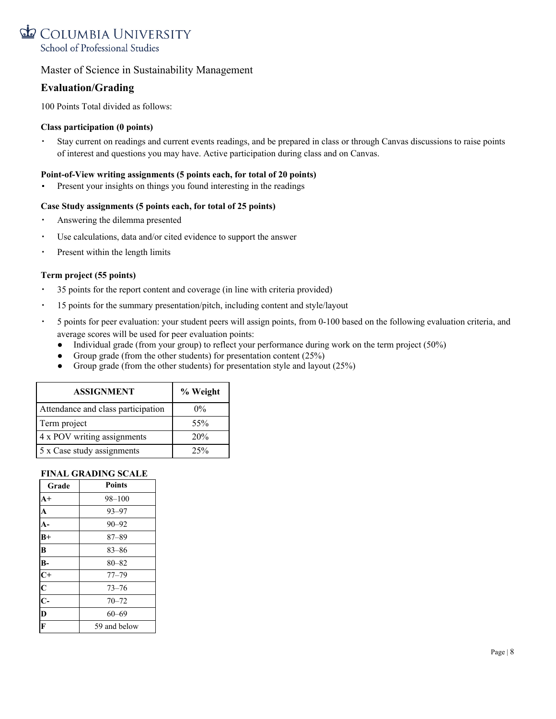

#### **Evaluation/Grading**

100 Points Total divided as follows:

#### **Class participation (0 points)**

▪ Stay current on readings and current events readings, and be prepared in class or through Canvas discussions to raise points of interest and questions you may have. Active participation during class and on Canvas.

#### **Point-of-View writing assignments (5 points each, for total of 20 points)**

Present your insights on things you found interesting in the readings

#### **Case Study assignments (5 points each, for total of 25 points)**

- Answering the dilemma presented
- Use calculations, data and/or cited evidence to support the answer
- Present within the length limits

#### **Term project (55 points)**

- 35 points for the report content and coverage (in line with criteria provided)
- 15 points for the summary presentation/pitch, including content and style/layout
- 5 points for peer evaluation: your student peers will assign points, from 0-100 based on the following evaluation criteria, and average scores will be used for peer evaluation points:
	- Individual grade (from your group) to reflect your performance during work on the term project (50%)
	- Group grade (from the other students) for presentation content  $(25\%)$
	- Group grade (from the other students) for presentation style and layout (25%)

| <b>ASSIGNMENT</b>                  | % Weight |
|------------------------------------|----------|
| Attendance and class participation | $0\%$    |
| Term project                       | 55%      |
| 4 x POV writing assignments        | 20%      |
| 5 x Case study assignments         | 25%      |

#### **FINAL GRADING SCALE**

| Grade                   | <b>Points</b> |
|-------------------------|---------------|
| $A+$                    | $98 - 100$    |
| $\overline{\mathbf{A}}$ | $93 - 97$     |
| $A-$                    | $90 - 92$     |
| $B+$                    | $87 - 89$     |
| B                       | $83 - 86$     |
| $B -$                   | $80 - 82$     |
| $rac{C}{C}$             | $77 - 79$     |
|                         | $73 - 76$     |
| $\overline{C}$          | $70 - 72$     |
| $\overline{\mathbf{D}}$ | $60 - 69$     |
| $\overline{\mathbf{F}}$ | 59 and below  |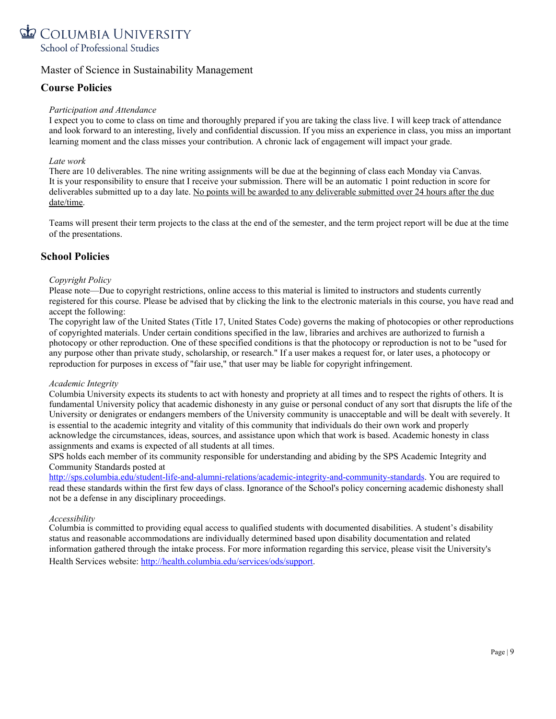

#### **Course Policies**

#### *Participation and Attendance*

I expect you to come to class on time and thoroughly prepared if you are taking the class live. I will keep track of attendance and look forward to an interesting, lively and confidential discussion. If you miss an experience in class, you miss an important learning moment and the class misses your contribution. A chronic lack of engagement will impact your grade.

#### *Late work*

There are 10 deliverables. The nine writing assignments will be due at the beginning of class each Monday via Canvas. It is your responsibility to ensure that I receive your submission. There will be an automatic 1 point reduction in score for deliverables submitted up to a day late. No points will be awarded to any deliverable submitted over 24 hours after the due date/time.

Teams will present their term projects to the class at the end of the semester, and the term project report will be due at the time of the presentations.

#### **School Policies**

#### *Copyright Policy*

Please note—Due to copyright restrictions, online access to this material is limited to instructors and students currently registered for this course. Please be advised that by clicking the link to the electronic materials in this course, you have read and accept the following:

The copyright law of the United States (Title 17, United States Code) governs the making of photocopies or other reproductions of copyrighted materials. Under certain conditions specified in the law, libraries and archives are authorized to furnish a photocopy or other reproduction. One of these specified conditions is that the photocopy or reproduction is not to be "used for any purpose other than private study, scholarship, or research." If a user makes a request for, or later uses, a photocopy or reproduction for purposes in excess of "fair use," that user may be liable for copyright infringement.

#### *Academic Integrity*

Columbia University expects its students to act with honesty and propriety at all times and to respect the rights of others. It is fundamental University policy that academic dishonesty in any guise or personal conduct of any sort that disrupts the life of the University or denigrates or endangers members of the University community is unacceptable and will be dealt with severely. It is essential to the academic integrity and vitality of this community that individuals do their own work and properly acknowledge the circumstances, ideas, sources, and assistance upon which that work is based. Academic honesty in class assignments and exams is expected of all students at all times.

SPS holds each member of its community responsible for understanding and abiding by the SPS Academic Integrity and Community Standards posted at

<http://sps.columbia.edu/student-life-and-alumni-relations/academic-integrity-and-community-standards>. You are required to read these standards within the first few days of class. Ignorance of the School's policy concerning academic dishonesty shall not be a defense in any disciplinary proceedings.

#### *Accessibility*

Columbia is committed to providing equal access to qualified students with documented disabilities. A student's disability status and reasonable accommodations are individually determined based upon disability documentation and related information gathered through the intake process. For more information regarding this service, please visit the University's Health Services website: [http://health.columbia.edu/services/ods/support.](http://health.columbia.edu/services/ods/support)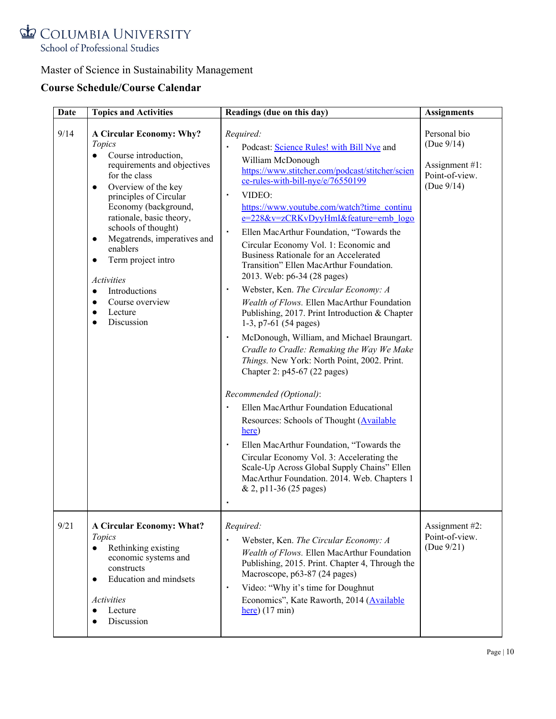

# **Course Schedule/Course Calendar**

| <b>Date</b> | <b>Topics and Activities</b>                                                                                                                                                                                                                                                                                                                                                                                                                                                                | Readings (due on this day)                                                                                                                                                                                                                                                                                                                                                                                                                                                                                                                                                                                                                                                                                                                                                                                                                                                                                                                                                                                                                                                                                                                                                                                                     | <b>Assignments</b>                                                                 |
|-------------|---------------------------------------------------------------------------------------------------------------------------------------------------------------------------------------------------------------------------------------------------------------------------------------------------------------------------------------------------------------------------------------------------------------------------------------------------------------------------------------------|--------------------------------------------------------------------------------------------------------------------------------------------------------------------------------------------------------------------------------------------------------------------------------------------------------------------------------------------------------------------------------------------------------------------------------------------------------------------------------------------------------------------------------------------------------------------------------------------------------------------------------------------------------------------------------------------------------------------------------------------------------------------------------------------------------------------------------------------------------------------------------------------------------------------------------------------------------------------------------------------------------------------------------------------------------------------------------------------------------------------------------------------------------------------------------------------------------------------------------|------------------------------------------------------------------------------------|
| 9/14        | <b>A Circular Economy: Why?</b><br>Topics<br>Course introduction,<br>$\bullet$<br>requirements and objectives<br>for the class<br>Overview of the key<br>$\bullet$<br>principles of Circular<br>Economy (background,<br>rationale, basic theory,<br>schools of thought)<br>Megatrends, imperatives and<br>$\bullet$<br>enablers<br>Term project intro<br>$\bullet$<br><i>Activities</i><br>Introductions<br>$\bullet$<br>Course overview<br>$\bullet$<br>Lecture<br>$\bullet$<br>Discussion | Required:<br>Podcast: Science Rules! with Bill Nye and<br>William McDonough<br>https://www.stitcher.com/podcast/stitcher/scien<br>ce-rules-with-bill-nye/e/76550199<br>VIDEO:<br>$\blacksquare$<br>https://www.youtube.com/watch?time_continu<br>e=228&v=zCRKvDyyHmI&feature=emb_logo<br>Ellen MacArthur Foundation, "Towards the<br>$\blacksquare$<br>Circular Economy Vol. 1: Economic and<br>Business Rationale for an Accelerated<br>Transition" Ellen MacArthur Foundation.<br>2013. Web: p6-34 (28 pages)<br>Webster, Ken. The Circular Economy: A<br>٠<br>Wealth of Flows. Ellen MacArthur Foundation<br>Publishing, 2017. Print Introduction & Chapter<br>1-3, p7-61 $(54$ pages)<br>McDonough, William, and Michael Braungart.<br>٠<br>Cradle to Cradle: Remaking the Way We Make<br>Things. New York: North Point, 2002. Print.<br>Chapter 2: p45-67 (22 pages)<br>Recommended (Optional):<br>Ellen MacArthur Foundation Educational<br>×<br>Resources: Schools of Thought (Available<br>here)<br>Ellen MacArthur Foundation, "Towards the<br>٠<br>Circular Economy Vol. 3: Accelerating the<br>Scale-Up Across Global Supply Chains" Ellen<br>MacArthur Foundation. 2014. Web. Chapters 1<br>& 2, p11-36 (25 pages) | Personal bio<br>(Due $9/14$ )<br>Assignment $#1$ :<br>Point-of-view.<br>(Due 9/14) |
| 9/21        | <b>A Circular Economy: What?</b><br>Topics<br>Rethinking existing<br>$\bullet$<br>economic systems and<br>constructs<br>Education and mindsets<br>$\bullet$<br><b>Activities</b><br>Lecture<br>Discussion                                                                                                                                                                                                                                                                                   | Required:<br>Webster, Ken. The Circular Economy: A<br>Wealth of Flows. Ellen MacArthur Foundation<br>Publishing, 2015. Print. Chapter 4, Through the<br>Macroscope, p63-87 (24 pages)<br>Video: "Why it's time for Doughnut<br>$\blacksquare$<br>Economics", Kate Raworth, 2014 (Available<br>$here)$ (17 min)                                                                                                                                                                                                                                                                                                                                                                                                                                                                                                                                                                                                                                                                                                                                                                                                                                                                                                                 | Assignment #2:<br>Point-of-view.<br>(Due $9/21$ )                                  |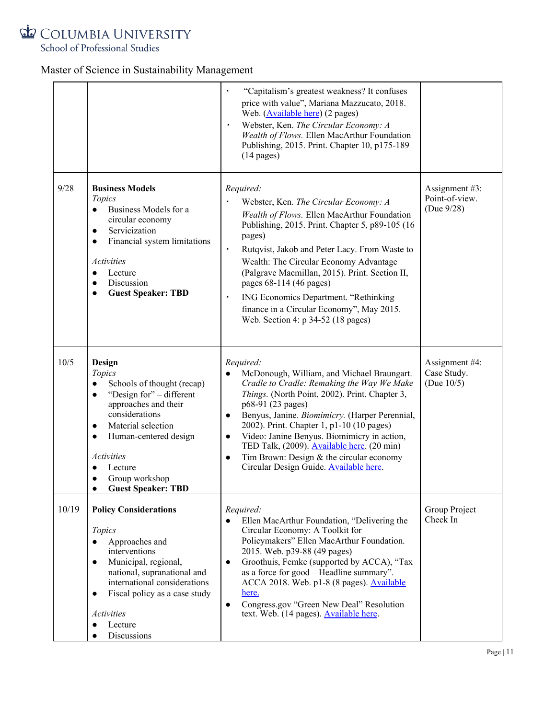

School of Professional Studies

|       |                                                                                                                                                                                                                                                                                    | "Capitalism's greatest weakness? It confuses<br>price with value", Mariana Mazzucato, 2018.<br>Web. (Available here) (2 pages)<br>Webster, Ken. The Circular Economy: A<br>Wealth of Flows. Ellen MacArthur Foundation<br>Publishing, 2015. Print. Chapter 10, p175-189<br>$(14 \text{ pages})$                                                                                                                                                                                                           |                                                |
|-------|------------------------------------------------------------------------------------------------------------------------------------------------------------------------------------------------------------------------------------------------------------------------------------|-----------------------------------------------------------------------------------------------------------------------------------------------------------------------------------------------------------------------------------------------------------------------------------------------------------------------------------------------------------------------------------------------------------------------------------------------------------------------------------------------------------|------------------------------------------------|
| 9/28  | <b>Business Models</b><br>Topics<br>Business Models for a<br>$\bullet$<br>circular economy<br>Servicization<br>$\bullet$<br>Financial system limitations<br>$\bullet$<br><b>Activities</b><br>Lecture<br>$\bullet$<br>Discussion<br><b>Guest Speaker: TBD</b>                      | Required:<br>Webster, Ken. The Circular Economy: A<br>Wealth of Flows. Ellen MacArthur Foundation<br>Publishing, 2015. Print. Chapter 5, p89-105 (16)<br>pages)<br>Rutqvist, Jakob and Peter Lacy. From Waste to<br>٠<br>Wealth: The Circular Economy Advantage<br>(Palgrave Macmillan, 2015). Print. Section II,<br>pages 68-114 (46 pages)<br>ING Economics Department. "Rethinking<br>٠<br>finance in a Circular Economy", May 2015.<br>Web. Section 4: p 34-52 (18 pages)                             | Assignment #3:<br>Point-of-view.<br>(Due 9/28) |
| 10/5  | Design<br>Topics<br>Schools of thought (recap)<br>$\bullet$<br>"Design for" - different<br>$\bullet$<br>approaches and their<br>considerations<br>Material selection<br>$\bullet$<br>Human-centered design<br>Activities<br>Lecture<br>Group workshop<br><b>Guest Speaker: TBD</b> | Required:<br>McDonough, William, and Michael Braungart.<br>Cradle to Cradle: Remaking the Way We Make<br>Things. (North Point, 2002). Print. Chapter 3,<br>p68-91 (23 pages)<br>Benyus, Janine. Biomimicry. (Harper Perennial,<br>$\bullet$<br>2002). Print. Chapter 1, p1-10 (10 pages)<br>Video: Janine Benyus. Biomimicry in action,<br>$\bullet$<br>TED Talk, (2009). Available here. (20 min)<br>Tim Brown: Design & the circular economy $-$<br>$\bullet$<br>Circular Design Guide. Available here. | Assignment #4:<br>Case Study.<br>(Due $10/5$ ) |
| 10/19 | <b>Policy Considerations</b><br>Topics<br>Approaches and<br>$\bullet$<br>interventions<br>Municipal, regional,<br>$\bullet$<br>national, supranational and<br>international considerations<br>Fiscal policy as a case study<br>$\bullet$<br>Activities<br>Lecture<br>Discussions   | Required:<br>Ellen MacArthur Foundation, "Delivering the<br>$\bullet$<br>Circular Economy: A Toolkit for<br>Policymakers" Ellen MacArthur Foundation.<br>2015. Web. p39-88 (49 pages)<br>Groothuis, Femke (supported by ACCA), "Tax<br>$\bullet$<br>as a force for good – Headline summary".<br>ACCA 2018. Web. p1-8 (8 pages). Available<br>here.<br>Congress.gov "Green New Deal" Resolution<br>$\bullet$<br>text. Web. (14 pages). <b>Available here.</b>                                              | Group Project<br>Check In                      |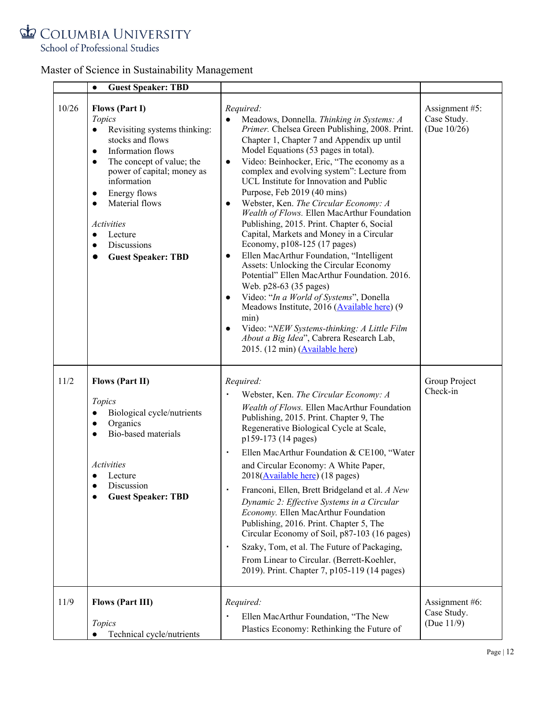School of Professional Studies

|       | <b>Guest Speaker: TBD</b><br>$\bullet$                                                                                                                                                                                                                                                                                                               |                                                                                                                                                                                                                                                                                                                                                                                                                                                                                                                                                                                                                                                                                                                                                                                                                                                                                                                                                                                                                                                         |                                                 |
|-------|------------------------------------------------------------------------------------------------------------------------------------------------------------------------------------------------------------------------------------------------------------------------------------------------------------------------------------------------------|---------------------------------------------------------------------------------------------------------------------------------------------------------------------------------------------------------------------------------------------------------------------------------------------------------------------------------------------------------------------------------------------------------------------------------------------------------------------------------------------------------------------------------------------------------------------------------------------------------------------------------------------------------------------------------------------------------------------------------------------------------------------------------------------------------------------------------------------------------------------------------------------------------------------------------------------------------------------------------------------------------------------------------------------------------|-------------------------------------------------|
| 10/26 | <b>Flows (Part I)</b><br>Topics<br>Revisiting systems thinking:<br>stocks and flows<br>Information flows<br>$\bullet$<br>The concept of value; the<br>$\bullet$<br>power of capital; money as<br>information<br>Energy flows<br>Material flows<br>$\bullet$<br><i>Activities</i><br>Lecture<br>$\bullet$<br>Discussions<br><b>Guest Speaker: TBD</b> | Required:<br>Meadows, Donnella. Thinking in Systems: A<br>Primer. Chelsea Green Publishing, 2008. Print.<br>Chapter 1, Chapter 7 and Appendix up until<br>Model Equations (53 pages in total).<br>Video: Beinhocker, Eric, "The economy as a<br>$\bullet$<br>complex and evolving system": Lecture from<br>UCL Institute for Innovation and Public<br>Purpose, Feb 2019 (40 mins)<br>Webster, Ken. The Circular Economy: A<br>$\bullet$<br>Wealth of Flows. Ellen MacArthur Foundation<br>Publishing, 2015. Print. Chapter 6, Social<br>Capital, Markets and Money in a Circular<br>Economy, p108-125 (17 pages)<br>Ellen MacArthur Foundation, "Intelligent<br>$\bullet$<br>Assets: Unlocking the Circular Economy<br>Potential" Ellen MacArthur Foundation. 2016.<br>Web. p28-63 (35 pages)<br>Video: "In a World of Systems", Donella<br>$\bullet$<br>Meadows Institute, 2016 (Available here) (9<br>min)<br>Video: "NEW Systems-thinking: A Little Film<br>$\bullet$<br>About a Big Idea", Cabrera Research Lab,<br>2015. (12 min) (Available here) | Assignment #5:<br>Case Study.<br>(Due $10/26$ ) |
| 11/2  | <b>Flows (Part II)</b><br>Topics<br>Biological cycle/nutrients<br>$\bullet$<br>Organics<br>$\bullet$<br>Bio-based materials<br>$\bullet$<br><b>Activities</b><br>Lecture<br>Discussion<br><b>Guest Speaker: TBD</b>                                                                                                                                  | Required:<br>Webster, Ken. The Circular Economy: A<br>Wealth of Flows. Ellen MacArthur Foundation<br>Publishing, 2015. Print. Chapter 9, The<br>Regenerative Biological Cycle at Scale,<br>p159-173 (14 pages)<br>Ellen MacArthur Foundation & CE100, "Water<br>٠<br>and Circular Economy: A White Paper,<br>2018( <b>Available here</b> ) (18 pages)<br>Franconi, Ellen, Brett Bridgeland et al. A New<br>Dynamic 2: Effective Systems in a Circular<br>Economy. Ellen MacArthur Foundation<br>Publishing, 2016. Print. Chapter 5, The<br>Circular Economy of Soil, p87-103 (16 pages)<br>Szaky, Tom, et al. The Future of Packaging,<br>$\blacksquare$<br>From Linear to Circular. (Berrett-Koehler,<br>2019). Print. Chapter 7, p105-119 (14 pages)                                                                                                                                                                                                                                                                                                  | Group Project<br>Check-in                       |
| 11/9  | <b>Flows (Part III)</b><br>Topics<br>Technical cycle/nutrients                                                                                                                                                                                                                                                                                       | Required:<br>Ellen MacArthur Foundation, "The New<br>Plastics Economy: Rethinking the Future of                                                                                                                                                                                                                                                                                                                                                                                                                                                                                                                                                                                                                                                                                                                                                                                                                                                                                                                                                         | Assignment #6:<br>Case Study.<br>(Due $11/9$ )  |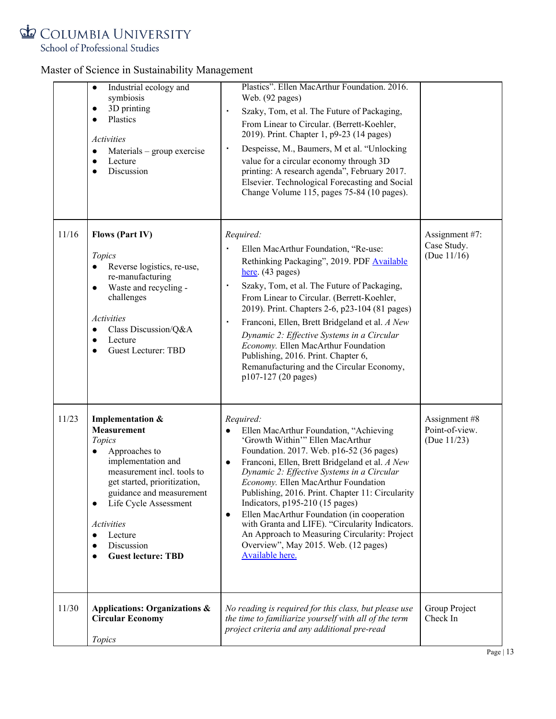School of Professional Studies

|       | Industrial ecology and<br>$\bullet$<br>symbiosis<br>3D printing<br>$\bullet$<br>Plastics<br>$\bullet$<br>Activities<br>Materials – group exercise<br>$\bullet$<br>Lecture<br>$\bullet$<br>Discussion<br>$\bullet$                                                                                                            | Plastics". Ellen MacArthur Foundation. 2016.<br>Web. (92 pages)<br>Szaky, Tom, et al. The Future of Packaging,<br>٠<br>From Linear to Circular. (Berrett-Koehler,<br>2019). Print. Chapter 1, p9-23 (14 pages)<br>Despeisse, M., Baumers, M et al. "Unlocking<br>٠<br>value for a circular economy through 3D<br>printing: A research agenda", February 2017.<br>Elsevier. Technological Forecasting and Social<br>Change Volume 115, pages 75-84 (10 pages).                                                                                                                                                           |                                                   |
|-------|------------------------------------------------------------------------------------------------------------------------------------------------------------------------------------------------------------------------------------------------------------------------------------------------------------------------------|-------------------------------------------------------------------------------------------------------------------------------------------------------------------------------------------------------------------------------------------------------------------------------------------------------------------------------------------------------------------------------------------------------------------------------------------------------------------------------------------------------------------------------------------------------------------------------------------------------------------------|---------------------------------------------------|
| 11/16 | <b>Flows (Part IV)</b><br>Topics<br>Reverse logistics, re-use,<br>$\bullet$<br>re-manufacturing<br>Waste and recycling -<br>$\bullet$<br>challenges<br><b>Activities</b><br>Class Discussion/Q&A<br>$\bullet$<br>Lecture<br>$\bullet$<br><b>Guest Lecturer: TBD</b><br>$\bullet$                                             | Required:<br>Ellen MacArthur Foundation, "Re-use:<br>Rethinking Packaging", 2019. PDF Available<br>here. (43 pages)<br>Szaky, Tom, et al. The Future of Packaging,<br>From Linear to Circular. (Berrett-Koehler,<br>2019). Print. Chapters 2-6, p23-104 (81 pages)<br>Franconi, Ellen, Brett Bridgeland et al. A New<br>٠<br>Dynamic 2: Effective Systems in a Circular<br>Economy. Ellen MacArthur Foundation<br>Publishing, 2016. Print. Chapter 6,<br>Remanufacturing and the Circular Economy,<br>p107-127 (20 pages)                                                                                               | Assignment #7:<br>Case Study.<br>(Due $11/16$ )   |
| 11/23 | Implementation &<br><b>Measurement</b><br>Topics<br>Approaches to<br>$\bullet$<br>implementation and<br>measurement incl. tools to<br>get started, prioritization,<br>guidance and measurement<br>Life Cycle Assessment<br>$\bullet$<br><b>Activities</b><br>Lecture<br>Discussion<br><b>Guest lecture: TBD</b><br>$\bullet$ | Required:<br>Ellen MacArthur Foundation, "Achieving<br>$\bullet$<br>'Growth Within'" Ellen MacArthur<br>Foundation. 2017. Web. p16-52 (36 pages)<br>Franconi, Ellen, Brett Bridgeland et al. A New<br>$\bullet$<br>Dynamic 2: Effective Systems in a Circular<br>Economy. Ellen MacArthur Foundation<br>Publishing, 2016. Print. Chapter 11: Circularity<br>Indicators, $p195-210$ (15 pages)<br>Ellen MacArthur Foundation (in cooperation<br>$\bullet$<br>with Granta and LIFE). "Circularity Indicators.<br>An Approach to Measuring Circularity: Project<br>Overview", May 2015. Web. (12 pages)<br>Available here. | Assignment #8<br>Point-of-view.<br>(Due $11/23$ ) |
| 11/30 | <b>Applications: Organizations &amp;</b><br><b>Circular Economy</b><br>Topics                                                                                                                                                                                                                                                | No reading is required for this class, but please use<br>the time to familiarize yourself with all of the term<br>project criteria and any additional pre-read                                                                                                                                                                                                                                                                                                                                                                                                                                                          | Group Project<br>Check In                         |